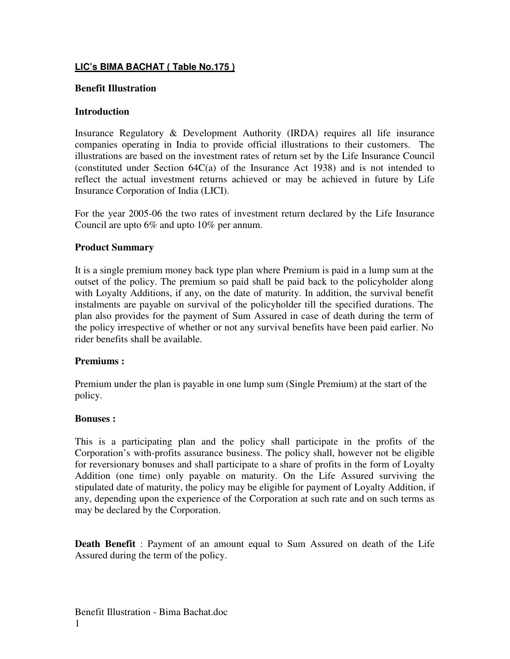## **LIC's BIMA BACHAT ( Table No.175 )**

### **Benefit Illustration**

#### **Introduction**

Insurance Regulatory & Development Authority (IRDA) requires all life insurance companies operating in India to provide official illustrations to their customers. The illustrations are based on the investment rates of return set by the Life Insurance Council (constituted under Section 64C(a) of the Insurance Act 1938) and is not intended to reflect the actual investment returns achieved or may be achieved in future by Life Insurance Corporation of India (LICI).

For the year 2005-06 the two rates of investment return declared by the Life Insurance Council are upto 6% and upto 10% per annum.

#### **Product Summary**

It is a single premium money back type plan where Premium is paid in a lump sum at the outset of the policy. The premium so paid shall be paid back to the policyholder along with Loyalty Additions, if any, on the date of maturity. In addition, the survival benefit instalments are payable on survival of the policyholder till the specified durations. The plan also provides for the payment of Sum Assured in case of death during the term of the policy irrespective of whether or not any survival benefits have been paid earlier. No rider benefits shall be available.

#### **Premiums :**

Premium under the plan is payable in one lump sum (Single Premium) at the start of the policy.

#### **Bonuses :**

This is a participating plan and the policy shall participate in the profits of the Corporation's with-profits assurance business. The policy shall, however not be eligible for reversionary bonuses and shall participate to a share of profits in the form of Loyalty Addition (one time) only payable on maturity. On the Life Assured surviving the stipulated date of maturity, the policy may be eligible for payment of Loyalty Addition, if any, depending upon the experience of the Corporation at such rate and on such terms as may be declared by the Corporation.

**Death Benefit** : Payment of an amount equal to Sum Assured on death of the Life Assured during the term of the policy.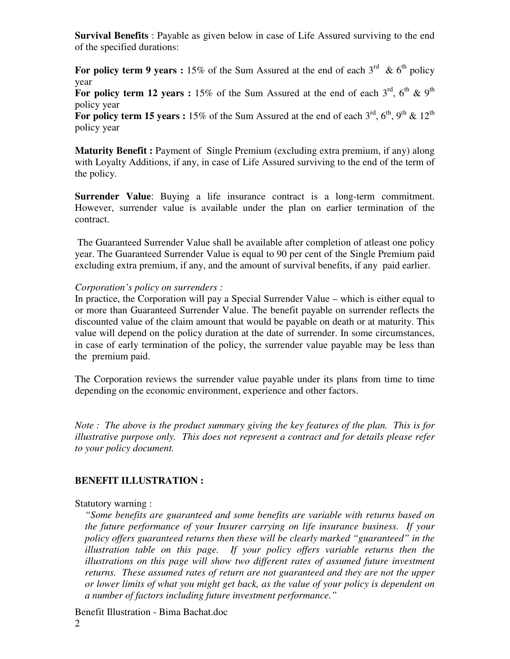**Survival Benefits** : Payable as given below in case of Life Assured surviving to the end of the specified durations:

For policy term 9 years : 15% of the Sum Assured at the end of each  $3^{rd}$  & 6<sup>th</sup> policy year

For policy term 12 years : 15% of the Sum Assured at the end of each  $3^{rd}$ ,  $6^{th}$  &  $9^{th}$ policy year

For policy term 15 years : 15% of the Sum Assured at the end of each  $3^{rd}$ ,  $6^{th}$ ,  $9^{th}$  &  $12^{th}$ policy year

**Maturity Benefit :** Payment of Single Premium (excluding extra premium, if any) along with Loyalty Additions, if any, in case of Life Assured surviving to the end of the term of the policy.

**Surrender Value**: Buying a life insurance contract is a long-term commitment. However, surrender value is available under the plan on earlier termination of the contract.

The Guaranteed Surrender Value shall be available after completion of atleast one policy year. The Guaranteed Surrender Value is equal to 90 per cent of the Single Premium paid excluding extra premium, if any, and the amount of survival benefits, if any paid earlier.

#### *Corporation's policy on surrenders :*

In practice, the Corporation will pay a Special Surrender Value – which is either equal to or more than Guaranteed Surrender Value. The benefit payable on surrender reflects the discounted value of the claim amount that would be payable on death or at maturity. This value will depend on the policy duration at the date of surrender. In some circumstances, in case of early termination of the policy, the surrender value payable may be less than the premium paid.

The Corporation reviews the surrender value payable under its plans from time to time depending on the economic environment, experience and other factors.

*Note : The above is the product summary giving the key features of the plan. This is for illustrative purpose only. This does not represent a contract and for details please refer to your policy document.*

## **BENEFIT ILLUSTRATION :**

#### Statutory warning :

*"Some benefits are guaranteed and some benefits are variable with returns based on the future performance of your Insurer carrying on life insurance business. If your policy offers guaranteed returns then these will be clearly marked "guaranteed" in the illustration table on this page. If your policy offers variable returns then the illustrations on this page will show two different rates of assumed future investment returns. These assumed rates of return are not guaranteed and they are not the upper or lower limits of what you might get back, as the value of your policy is dependent on a number of factors including future investment performance."*

Benefit Illustration - Bima Bachat.doc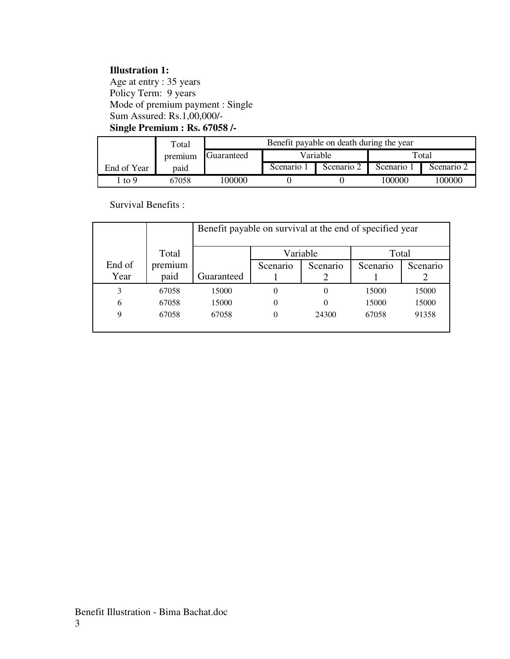# **Illustration 1:**

Age at entry : 35 years Policy Term: 9 years Mode of premium payment : Single Sum Assured: Rs.1,00,000/- **Single Premium : Rs. 67058 /-**

|             | Total   | Benefit payable on death during the year |            |            |          |            |
|-------------|---------|------------------------------------------|------------|------------|----------|------------|
|             | premium | Guaranteed                               | Variable   |            | Total    |            |
| End of Year | paid    |                                          | Scenario 1 | Scenario 2 | Scenario | Scenario 2 |
| . to 9      | 67058   | 100000                                   |            |            | 100000   | 100000     |

Survival Benefits :

|        |         | Benefit payable on survival at the end of specified year |                |          |          |          |
|--------|---------|----------------------------------------------------------|----------------|----------|----------|----------|
|        | Total   |                                                          |                | Variable | Total    |          |
| End of | premium |                                                          | Scenario       | Scenario | Scenario | Scenario |
| Year   | paid    | Guaranteed                                               |                |          |          |          |
| 3      | 67058   | 15000                                                    | $\overline{0}$ | 0        | 15000    | 15000    |
| 6      | 67058   | 15000                                                    | $\overline{0}$ | $\theta$ | 15000    | 15000    |
| 9      | 67058   | 67058                                                    | 0              | 24300    | 67058    | 91358    |
|        |         |                                                          |                |          |          |          |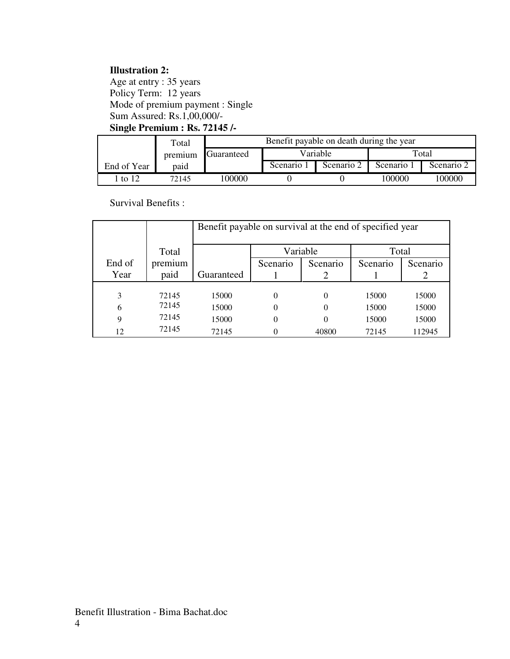# **Illustration 2:**

Age at entry : 35 years Policy Term: 12 years Mode of premium payment : Single Sum Assured: Rs.1,00,000/- **Single Premium : Rs. 72145 /-**

|             | Total   | Benefit payable on death during the year |            |            |          |            |
|-------------|---------|------------------------------------------|------------|------------|----------|------------|
|             | premium | Guaranteed                               | Variable   |            | Total    |            |
| End of Year | paid    |                                          | Scenario 1 | Scenario 2 | Scenario | Scenario 2 |
| 1 to 12     | 72145   | 100000                                   |            |            | 100000   | 100000     |

Survival Benefits :

|        |         | Benefit payable on survival at the end of specified year |                   |          |          |          |  |  |
|--------|---------|----------------------------------------------------------|-------------------|----------|----------|----------|--|--|
|        | Total   |                                                          | Variable<br>Total |          |          |          |  |  |
| End of | premium |                                                          | Scenario          | Scenario | Scenario | Scenario |  |  |
| Year   | paid    | Guaranteed                                               |                   |          |          |          |  |  |
|        |         |                                                          |                   |          |          |          |  |  |
| 3      | 72145   | 15000                                                    | $\theta$          | $\Omega$ | 15000    | 15000    |  |  |
| 6      | 72145   | 15000                                                    | $\theta$          | $\Omega$ | 15000    | 15000    |  |  |
| 9      | 72145   | 15000                                                    | $\theta$          | 0        | 15000    | 15000    |  |  |
| 12     | 72145   | 72145                                                    |                   | 40800    | 72145    | 112945   |  |  |